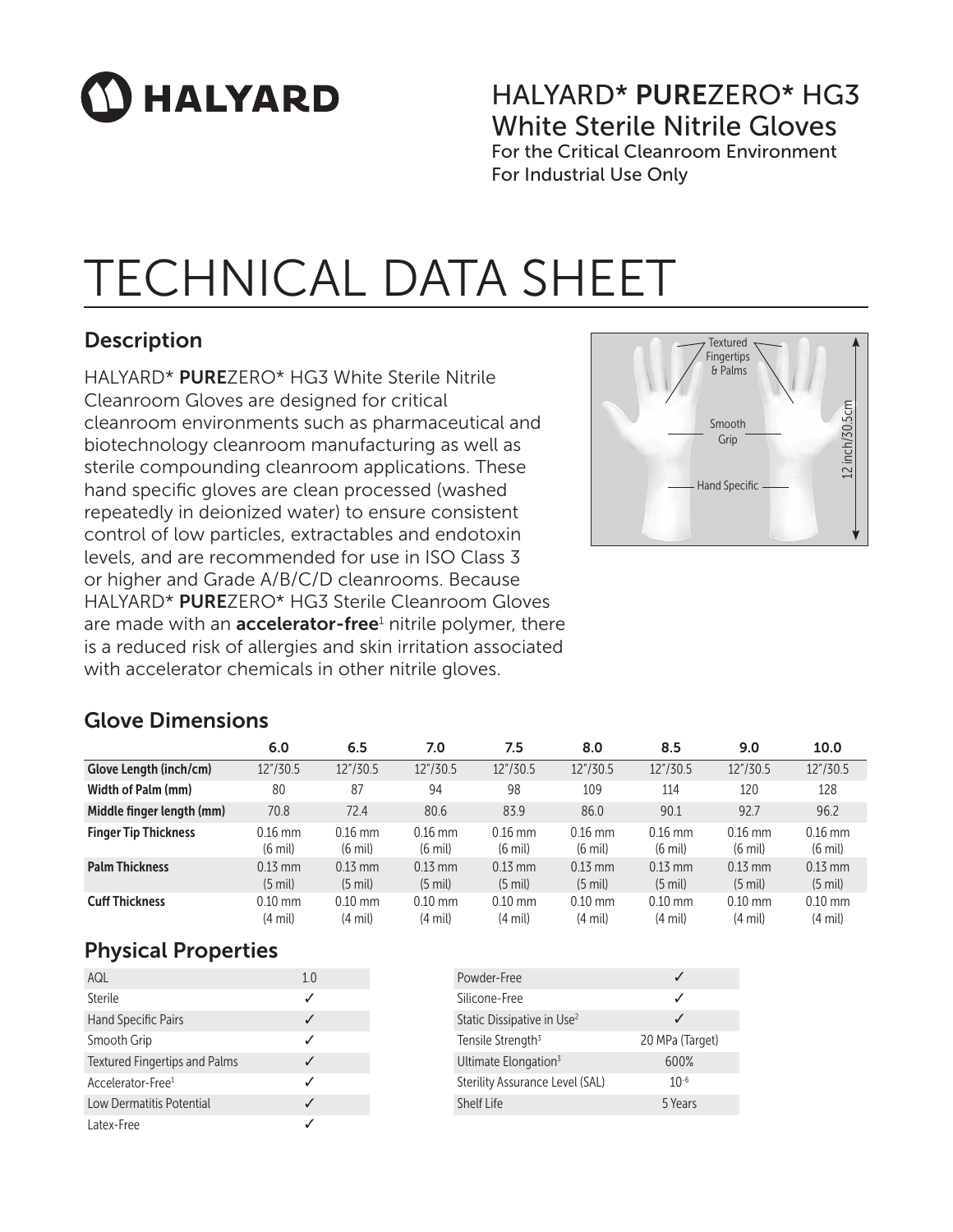# $\mathbf{\Omega}$  HALYARD

## HALYARD\* PUREZERO\* HG3 White Sterile Nitrile Gloves For the Critical Cleanroom Environment

For Industrial Use Only

## TECHNICAL DATA SHEET

## Description

HALYARD\* PUREZERO\* HG3 White Sterile Nitrile Cleanroom Gloves are designed for critical cleanroom environments such as pharmaceutical and biotechnology cleanroom manufacturing as well as sterile compounding cleanroom applications. These hand specific gloves are clean processed (washed repeatedly in deionized water) to ensure consistent control of low particles, extractables and endotoxin levels, and are recommended for use in ISO Class 3 or higher and Grade A/B/C/D cleanrooms. Because HALYARD\* PUREZERO\* HG3 Sterile Cleanroom Gloves are made with an **accelerator-free**<sup>1</sup> nitrile polymer, there is a reduced risk of allergies and skin irritation associated with accelerator chemicals in other nitrile gloves.



## Glove Dimensions

|                             | 6.0                            | 6.5                            | 7.0                            | 7.5                            | 8.0                            | 8.5                            | 9.0                            | 10.0                           |
|-----------------------------|--------------------------------|--------------------------------|--------------------------------|--------------------------------|--------------------------------|--------------------------------|--------------------------------|--------------------------------|
| Glove Length (inch/cm)      | 12"/30.5                       | 12"/30.5                       | 12"/30.5                       | 12"/30.5                       | 12''/30.5                      | 12"/30.5                       | 12"/30.5                       | 12"/30.5                       |
| Width of Palm (mm)          | 80                             | 87                             | 94                             | 98                             | 109                            | 114                            | 120                            | 128                            |
| Middle finger length (mm)   | 70.8                           | 72.4                           | 80.6                           | 83.9                           | 86.0                           | 90.1                           | 92.7                           | 96.2                           |
| <b>Finger Tip Thickness</b> | $0.16$ mm<br>$(6 \text{ mil})$ | $0.16$ mm<br>$(6 \text{ mil})$ | $0.16$ mm<br>$(6 \text{ mil})$ | $0.16$ mm<br>$(6 \text{ mil})$ | $0.16$ mm<br>$(6 \text{ mil})$ | $0.16$ mm<br>$(6 \text{ mil})$ | $0.16$ mm<br>$(6 \text{ mil})$ | $0.16$ mm<br>$(6 \text{ mil})$ |
| <b>Palm Thickness</b>       | $0.13$ mm<br>$(5 \text{ mil})$ | $0.13$ mm<br>$(5 \text{ mil})$ | $0.13$ mm<br>$(5 \text{ mil})$ | $0.13$ mm<br>$(5 \text{ mil})$ | $0.13$ mm<br>$(5 \text{ mil})$ | $0.13$ mm<br>$(5 \text{ mil})$ | $0.13$ mm<br>$(5 \text{ mil})$ | $0.13$ mm<br>$(5 \text{ mil})$ |
| <b>Cuff Thickness</b>       | $0.10$ mm<br>$(4 \text{ mil})$ | $0.10$ mm<br>$(4 \text{ mil})$ | $0.10$ mm<br>$(4 \text{ mil})$ | $0.10$ mm<br>$(4 \text{ mil})$ | $0.10$ mm<br>$(4 \text{ mil})$ | $0.10$ mm<br>$(4 \text{ mil})$ | $0.10$ mm<br>$(4 \text{ mil})$ | $0.10$ mm<br>$(4 \text{ mil})$ |

## Physical Properties

| AQL                                  | 1 O |
|--------------------------------------|-----|
| Sterile                              |     |
| Hand Specific Pairs                  |     |
| Smooth Grip                          |     |
| <b>Textured Fingertips and Palms</b> |     |
| Accelerator-Free <sup>1</sup>        |     |
| Low Dermatitis Potential             |     |
| Latex-Free                           |     |

| Powder-Free                            |                 |
|----------------------------------------|-----------------|
| Silicone-Free                          |                 |
| Static Dissipative in Use <sup>2</sup> |                 |
| Tensile Strength <sup>3</sup>          | 20 MPa (Target) |
| Ultimate Elongation $3$                | 600%            |
| Sterility Assurance Level (SAL)        | $10^{-6}$       |
| Shelf Life                             | 5 Years         |